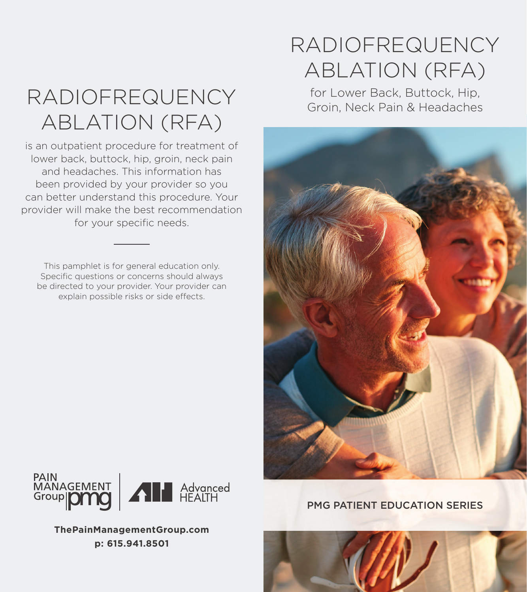# RADIOFREQUENCY for Lower Back, Buttock, Hip,<br>Groin, Neck Pain & Headaches ABLATION (RFA)

is an outpatient procedure for treatment of lower back, buttock, hip, groin, neck pain and headaches. This information has been provided by your provider so you can better understand this procedure. Your provider will make the best recommendation for your specific needs.

This pamphlet is for general education only. Specific questions or concerns should always be directed to your provider. Your provider can explain possible risks or side effects.

## RADIOFREQUENCY ABLATION (RFA)





**ThePainManagementGroup.com p: 615.941.8501**

PMG PATIENT EDUCATION SERIES